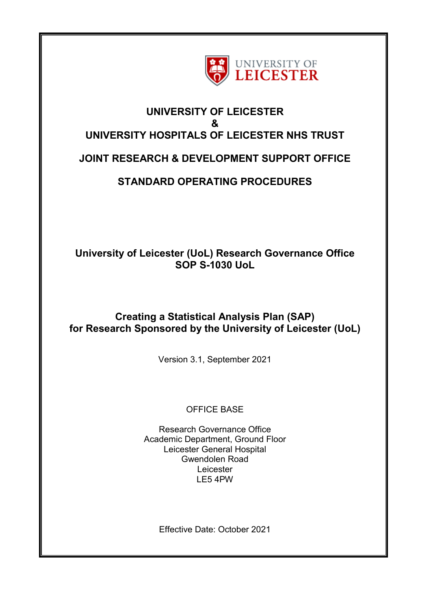

# **UNIVERSITY OF LEICESTER & UNIVERSITY HOSPITALS OF LEICESTER NHS TRUST**

## **JOINT RESEARCH & DEVELOPMENT SUPPORT OFFICE**

# **STANDARD OPERATING PROCEDURES**

## **University of Leicester (UoL) Research Governance Office SOP S-1030 UoL**

### **Creating a Statistical Analysis Plan (SAP) for Research Sponsored by the University of Leicester (UoL)**

Version 3.1, September 2021

### OFFICE BASE

Research Governance Office Academic Department, Ground Floor Leicester General Hospital Gwendolen Road Leicester LE5 4PW

Effective Date: October 2021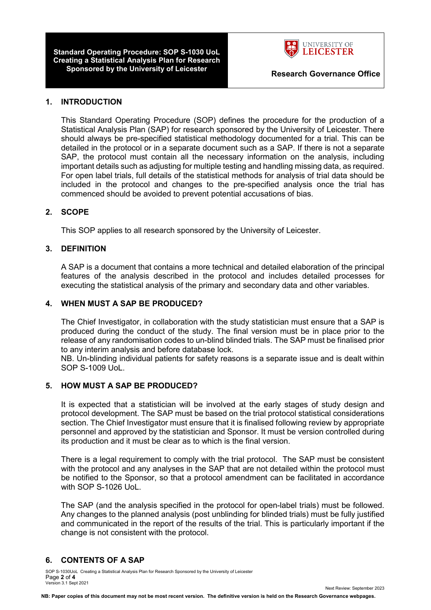**Standard Operating Procedure: SOP S-1030 UoL Creating a Statistical Analysis Plan for Research Sponsored by the University of Leicester Research Governance Office**



Next Review: September 2023

#### **1. INTRODUCTION**

This Standard Operating Procedure (SOP) defines the procedure for the production of a Statistical Analysis Plan (SAP) for research sponsored by the University of Leicester. There should always be pre-specified statistical methodology documented for a trial. This can be detailed in the protocol or in a separate document such as a SAP. If there is not a separate SAP, the protocol must contain all the necessary information on the analysis, including important details such as adjusting for multiple testing and handling missing data, as required. For open label trials, full details of the statistical methods for analysis of trial data should be included in the protocol and changes to the pre-specified analysis once the trial has commenced should be avoided to prevent potential accusations of bias.

#### **2. SCOPE**

This SOP applies to all research sponsored by the University of Leicester.

#### **3. DEFINITION**

A SAP is a document that contains a more technical and detailed elaboration of the principal features of the analysis described in the protocol and includes detailed processes for executing the statistical analysis of the primary and secondary data and other variables.

#### **4. WHEN MUST A SAP BE PRODUCED?**

The Chief Investigator, in collaboration with the study statistician must ensure that a SAP is produced during the conduct of the study. The final version must be in place prior to the release of any randomisation codes to un-blind blinded trials. The SAP must be finalised prior to any interim analysis and before database lock.

NB. Un-blinding individual patients for safety reasons is a separate issue and is dealt within SOP S-1009 UoL.

#### **5. HOW MUST A SAP BE PRODUCED?**

It is expected that a statistician will be involved at the early stages of study design and protocol development. The SAP must be based on the trial protocol statistical considerations section. The Chief Investigator must ensure that it is finalised following review by appropriate personnel and approved by the statistician and Sponsor. It must be version controlled during its production and it must be clear as to which is the final version.

There is a legal requirement to comply with the trial protocol. The SAP must be consistent with the protocol and any analyses in the SAP that are not detailed within the protocol must be notified to the Sponsor, so that a protocol amendment can be facilitated in accordance with SOP S-1026 UoL.

The SAP (and the analysis specified in the protocol for open-label trials) must be followed. Any changes to the planned analysis (post unblinding for blinded trials) must be fully justified and communicated in the report of the results of the trial. This is particularly important if the change is not consistent with the protocol.

#### **6. CONTENTS OF A SAP**

SOP S-1030UoL Creating a Statistical Analysis Plan for Research Sponsored by the University of Leicester Page **2** of **4** Version 3.1 Sept 2021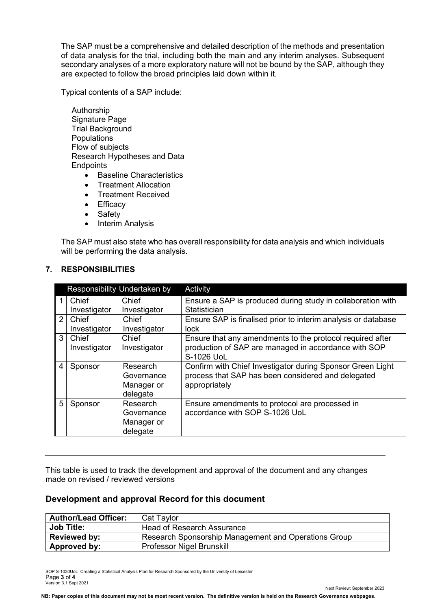The SAP must be a comprehensive and detailed description of the methods and presentation of data analysis for the trial, including both the main and any interim analyses. Subsequent secondary analyses of a more exploratory nature will not be bound by the SAP, although they are expected to follow the broad principles laid down within it.

Typical contents of a SAP include:

- Authorship Signature Page Trial Background **Populations** Flow of subjects Research Hypotheses and Data **Endpoints** 
	- Baseline Characteristics
	- Treatment Allocation
	- Treatment Received
	- Efficacy
	- Safety
	- Interim Analysis

The SAP must also state who has overall responsibility for data analysis and which individuals will be performing the data analysis.

| Responsibility Undertaken by |                       |                                                  | Activity                                                                                                                          |
|------------------------------|-----------------------|--------------------------------------------------|-----------------------------------------------------------------------------------------------------------------------------------|
|                              | Chief                 | Chief                                            | Ensure a SAP is produced during study in collaboration with                                                                       |
|                              | Investigator          | Investigator                                     | Statistician                                                                                                                      |
| $\mathcal{P}$                | Chief                 | Chief                                            | Ensure SAP is finalised prior to interim analysis or database                                                                     |
|                              | Investigator          | Investigator                                     | lock                                                                                                                              |
| $\mathcal{S}$                | Chief<br>Investigator | Chief<br>Investigator                            | Ensure that any amendments to the protocol required after<br>production of SAP are managed in accordance with SOP<br>S-1026 UoL   |
| 4                            | Sponsor               | Research<br>Governance<br>Manager or<br>delegate | Confirm with Chief Investigator during Sponsor Green Light<br>process that SAP has been considered and delegated<br>appropriately |
| 5                            | Sponsor               | Research<br>Governance<br>Manager or<br>delegate | Ensure amendments to protocol are processed in<br>accordance with SOP S-1026 UoL                                                  |

**7. RESPONSIBILITIES**

This table is used to track the development and approval of the document and any changes made on revised / reviewed versions

#### **Development and approval Record for this document**

| <b>Author/Lead Officer:</b> | Cat Taylor                                           |
|-----------------------------|------------------------------------------------------|
| <b>Job Title:</b>           | Head of Research Assurance                           |
| <b>Reviewed by:</b>         | Research Sponsorship Management and Operations Group |
| Approved by:                | Professor Nigel Brunskill                            |

SOP S-1030UoL Creating a Statistical Analysis Plan for Research Sponsored by the University of Leicester Page **3** of **4** Version 3.1 Sept 2021

Next Review: September 2023